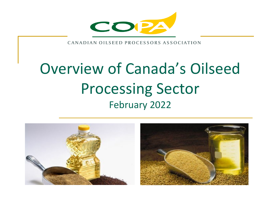

CANADIAN OILSEED PROCESSORS ASSOCIATION

# Overview of Canada's Oilseed Processing Sector February 2022

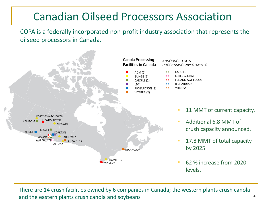# Canadian Oilseed Processors Association

COPA is a federally incorporated non-profit industry association that represents the oilseed processors in Canada.



There are 14 crush facilities owned by 6 companies in Canada; the western plants crush canola and the eastern plants crush canola and soybeans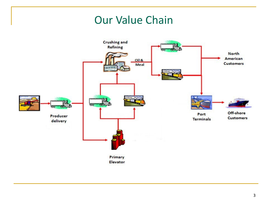#### Our Value Chain

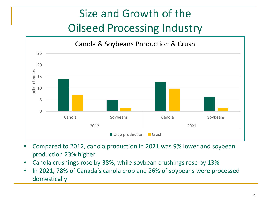# Size and Growth of the Oilseed Processing Industry



- Compared to 2012, canola production in 2021 was 9% lower and soybean production 23% higher
- Canola crushings rose by 38%, while soybean crushings rose by 13%
- In 2021, 78% of Canada's canola crop and 26% of soybeans were processed domestically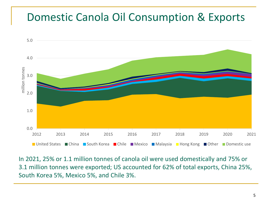#### Domestic Canola Oil Consumption & Exports



In 2021, 25% or 1.1 million tonnes of canola oil were used domestically and 75% or 3.1 million tonnes were exported; US accounted for 62% of total exports, China 25%, South Korea 5%, Mexico 5%, and Chile 3%.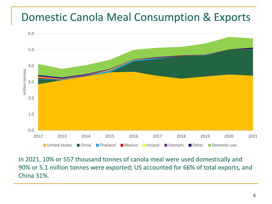#### Domestic Canola Meal Consumption & Exports



In 2021, 10% or 557 thousand tonnes of canola meal were used domestically and 90% or 5.1 million tonnes were exported; US accounted for 66% of total exports, and China 31%.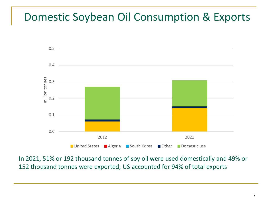# Domestic Soybean Oil Consumption & Exports



In 2021, 51% or 192 thousand tonnes of soy oil were used domestically and 49% or 152 thousand tonnes were exported; US accounted for 94% of total exports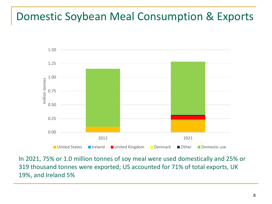# Domestic Soybean Meal Consumption & Exports



In 2021, 75% or 1.0 million tonnes of soy meal were used domestically and 25% or 319 thousand tonnes were exported; US accounted for 71% of total exports, UK 19%, and Ireland 5%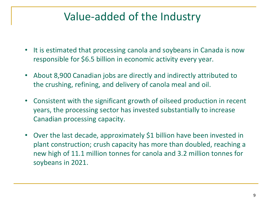# Value-added of the Industry

- It is estimated that processing canola and soybeans in Canada is now responsible for \$6.5 billion in economic activity every year.
- About 8,900 Canadian jobs are directly and indirectly attributed to the crushing, refining, and delivery of canola meal and oil.
- Consistent with the significant growth of oilseed production in recent years, the processing sector has invested substantially to increase Canadian processing capacity.
- Over the last decade, approximately \$1 billion have been invested in plant construction; crush capacity has more than doubled, reaching a new high of 11.1 million tonnes for canola and 3.2 million tonnes for soybeans in 2021.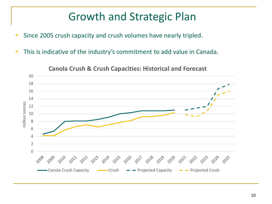# Growth and Strategic Plan

- **Since 2005 crush capacity and crush volumes have nearly tripled.**
- **This is indicative of the industry's commitment to add value in Canada.**



**Canola Crush & Crush Capacities: Historical and Forecast**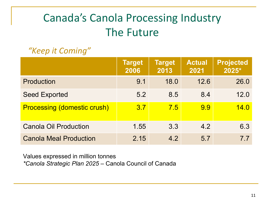# Canada's Canola Processing Industry The Future

#### *"Keep it Coming"*

|                                    | <b>Target</b><br>2006 | <b>Target</b><br>2013 | <b>Actual</b><br>2021 | <b>Projected</b><br>2025* |
|------------------------------------|-----------------------|-----------------------|-----------------------|---------------------------|
| Production                         | 9.1                   | 18.0                  | 12.6                  | 26.0                      |
| <b>Seed Exported</b>               | 5.2                   | 8.5                   | 8.4                   | 12.0                      |
| <b>Processing (domestic crush)</b> | 3.7                   | 7.5                   | 9.9                   | 14.0                      |
| <b>Canola Oil Production</b>       | 1.55                  | 3.3                   | 4.2                   | 6.3                       |
| <b>Canola Meal Production</b>      | 2.15                  | 4.2                   | 5.7                   | 77                        |

Values expressed in million tonnes *\*Canola Strategic Plan 2025* – Canola Council of Canada